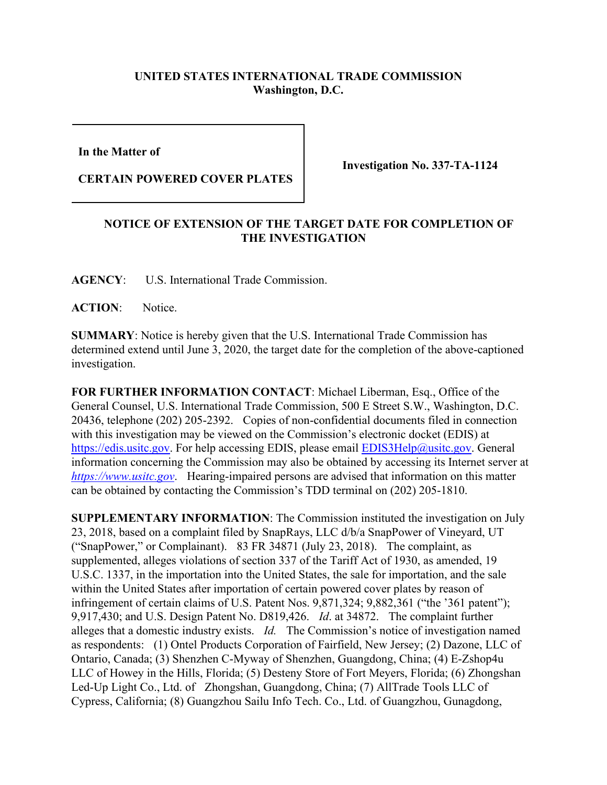## **UNITED STATES INTERNATIONAL TRADE COMMISSION Washington, D.C.**

**In the Matter of** 

**CERTAIN POWERED COVER PLATES**

**Investigation No. 337-TA-1124**

## **NOTICE OF EXTENSION OF THE TARGET DATE FOR COMPLETION OF THE INVESTIGATION**

**AGENCY**: U.S. International Trade Commission.

**ACTION**: Notice.

**SUMMARY**: Notice is hereby given that the U.S. International Trade Commission has determined extend until June 3, 2020, the target date for the completion of the above-captioned investigation.

**FOR FURTHER INFORMATION CONTACT**: Michael Liberman, Esq., Office of the General Counsel, U.S. International Trade Commission, 500 E Street S.W., Washington, D.C. 20436, telephone (202) 205-2392. Copies of non-confidential documents filed in connection with this investigation may be viewed on the Commission's electronic docket (EDIS) at [https://edis.usitc.gov.](https://edis.usitc.gov/) For help accessing EDIS, please email [EDIS3Help@usitc.gov.](mailto:EDIS3Help@usitc.gov) General information concerning the Commission may also be obtained by accessing its Internet server at *[https://www.usitc.gov](https://www.usitc.gov/)*. Hearing-impaired persons are advised that information on this matter can be obtained by contacting the Commission's TDD terminal on (202) 205-1810.

**SUPPLEMENTARY INFORMATION**: The Commission instituted the investigation on July 23, 2018, based on a complaint filed by SnapRays, LLC d/b/a SnapPower of Vineyard, UT ("SnapPower," or Complainant). 83 FR 34871 (July 23, 2018). The complaint, as supplemented, alleges violations of section 337 of the Tariff Act of 1930, as amended, 19 U.S.C. 1337, in the importation into the United States, the sale for importation, and the sale within the United States after importation of certain powered cover plates by reason of infringement of certain claims of U.S. Patent Nos. 9,871,324; 9,882,361 ("the '361 patent"); 9,917,430; and U.S. Design Patent No. D819,426. *Id*. at 34872. The complaint further alleges that a domestic industry exists. *Id.* The Commission's notice of investigation named as respondents: (1) Ontel Products Corporation of Fairfield, New Jersey; (2) Dazone, LLC of Ontario, Canada; (3) Shenzhen C-Myway of Shenzhen, Guangdong, China; (4) E-Zshop4u LLC of Howey in the Hills, Florida; (5) Desteny Store of Fort Meyers, Florida; (6) Zhongshan Led-Up Light Co., Ltd. of Zhongshan, Guangdong, China; (7) AllTrade Tools LLC of Cypress, California; (8) Guangzhou Sailu Info Tech. Co., Ltd. of Guangzhou, Gunagdong,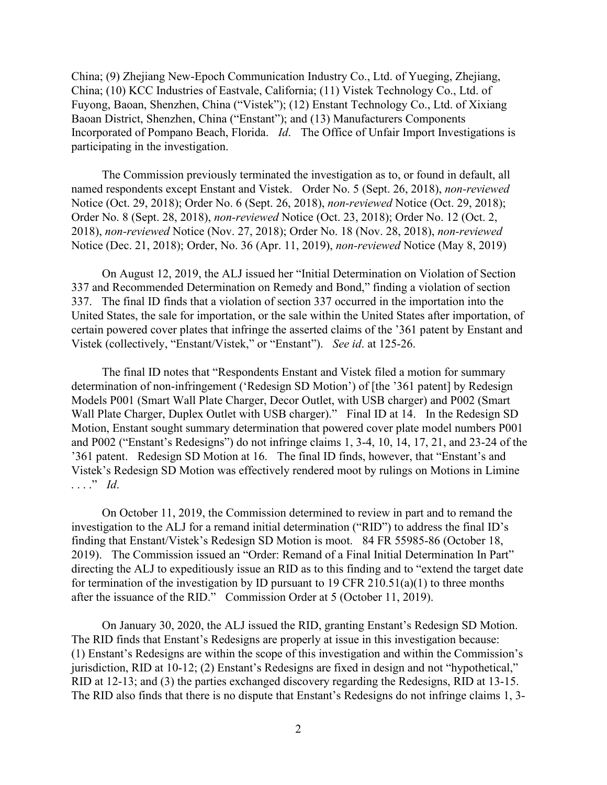China; (9) Zhejiang New-Epoch Communication Industry Co., Ltd. of Yueging, Zhejiang, China; (10) KCC Industries of Eastvale, California; (11) Vistek Technology Co., Ltd. of Fuyong, Baoan, Shenzhen, China ("Vistek"); (12) Enstant Technology Co., Ltd. of Xixiang Baoan District, Shenzhen, China ("Enstant"); and (13) Manufacturers Components Incorporated of Pompano Beach, Florida. *Id*. The Office of Unfair Import Investigations is participating in the investigation.

The Commission previously terminated the investigation as to, or found in default, all named respondents except Enstant and Vistek. Order No. 5 (Sept. 26, 2018), *non-reviewed* Notice (Oct. 29, 2018); Order No. 6 (Sept. 26, 2018), *non-reviewed* Notice (Oct. 29, 2018); Order No. 8 (Sept. 28, 2018), *non-reviewed* Notice (Oct. 23, 2018); Order No. 12 (Oct. 2, 2018), *non-reviewed* Notice (Nov. 27, 2018); Order No. 18 (Nov. 28, 2018), *non-reviewed* Notice (Dec. 21, 2018); Order, No. 36 (Apr. 11, 2019), *non-reviewed* Notice (May 8, 2019)

On August 12, 2019, the ALJ issued her "Initial Determination on Violation of Section 337 and Recommended Determination on Remedy and Bond," finding a violation of section 337. The final ID finds that a violation of section 337 occurred in the importation into the United States, the sale for importation, or the sale within the United States after importation, of certain powered cover plates that infringe the asserted claims of the '361 patent by Enstant and Vistek (collectively, "Enstant/Vistek," or "Enstant"). *See id*. at 125-26.

The final ID notes that "Respondents Enstant and Vistek filed a motion for summary determination of non-infringement ('Redesign SD Motion') of [the '361 patent] by Redesign Models P001 (Smart Wall Plate Charger, Decor Outlet, with USB charger) and P002 (Smart Wall Plate Charger, Duplex Outlet with USB charger)." Final ID at 14. In the Redesign SD Motion, Enstant sought summary determination that powered cover plate model numbers P001 and P002 ("Enstant's Redesigns") do not infringe claims 1, 3-4, 10, 14, 17, 21, and 23-24 of the '361 patent. Redesign SD Motion at 16. The final ID finds, however, that "Enstant's and Vistek's Redesign SD Motion was effectively rendered moot by rulings on Motions in Limine . . . ." *Id*.

On October 11, 2019, the Commission determined to review in part and to remand the investigation to the ALJ for a remand initial determination ("RID") to address the final ID's finding that Enstant/Vistek's Redesign SD Motion is moot. 84 FR 55985-86 (October 18, 2019). The Commission issued an "Order: Remand of a Final Initial Determination In Part" directing the ALJ to expeditiously issue an RID as to this finding and to "extend the target date for termination of the investigation by ID pursuant to 19 CFR 210.51(a)(1) to three months after the issuance of the RID." Commission Order at 5 (October 11, 2019).

On January 30, 2020, the ALJ issued the RID, granting Enstant's Redesign SD Motion. The RID finds that Enstant's Redesigns are properly at issue in this investigation because: (1) Enstant's Redesigns are within the scope of this investigation and within the Commission's jurisdiction, RID at 10-12; (2) Enstant's Redesigns are fixed in design and not "hypothetical," RID at 12-13; and (3) the parties exchanged discovery regarding the Redesigns, RID at 13-15. The RID also finds that there is no dispute that Enstant's Redesigns do not infringe claims 1, 3-